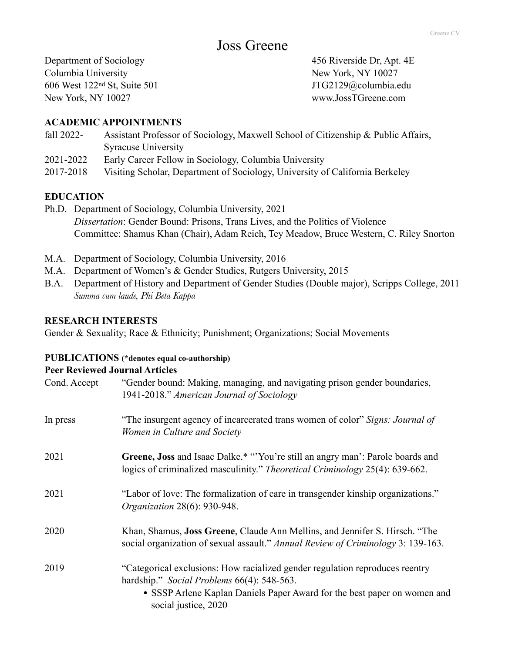Columbia University New York, NY 10027 606 West 122nd St, Suite 501 JTG2129@columbia.edu New York, NY 10027 www.JossTGreene.com

Department of Sociology 456 Riverside Dr, Apt. 4E

### **ACADEMIC APPOINTMENTS**

- fall 2022- Assistant Professor of Sociology, Maxwell School of Citizenship & Public Affairs, Syracuse University
- 2021-2022 Early Career Fellow in Sociology, Columbia University
- 2017-2018 Visiting Scholar, Department of Sociology, University of California Berkeley

### **EDUCATION**

- Ph.D. Department of Sociology, Columbia University, 2021 *Dissertation*: Gender Bound: Prisons, Trans Lives, and the Politics of Violence Committee: Shamus Khan (Chair), Adam Reich, Tey Meadow, Bruce Western, C. Riley Snorton
- M.A. Department of Sociology, Columbia University, 2016
- M.A. Department of Women's & Gender Studies, Rutgers University, 2015
- B.A. Department of History and Department of Gender Studies (Double major), Scripps College, 2011 *Summa cum laude, Phi Beta Kappa*

#### **RESEARCH INTERESTS**

Gender & Sexuality; Race & Ethnicity; Punishment; Organizations; Social Movements

#### **PUBLICATIONS (\*denotes equal co-authorship)**

#### **Peer Reviewed Journal Articles**

| Cond. Accept | "Gender bound: Making, managing, and navigating prison gender boundaries,<br>1941-2018." American Journal of Sociology                                                                                                         |
|--------------|--------------------------------------------------------------------------------------------------------------------------------------------------------------------------------------------------------------------------------|
| In press     | "The insurgent agency of incarcerated trans women of color" Signs: Journal of<br>Women in Culture and Society                                                                                                                  |
| 2021         | Greene, Joss and Isaac Dalke.* "'You're still an angry man': Parole boards and<br>logics of criminalized masculinity." Theoretical Criminology 25(4): 639-662.                                                                 |
| 2021         | "Labor of love: The formalization of care in transgender kinship organizations."<br><i>Organization</i> 28(6): 930-948.                                                                                                        |
| 2020         | Khan, Shamus, <b>Joss Greene</b> , Claude Ann Mellins, and Jennifer S. Hirsch. "The<br>social organization of sexual assault." Annual Review of Criminology 3: 139-163.                                                        |
| 2019         | "Categorical exclusions: How racialized gender regulation reproduces reentry<br>hardship." Social Problems 66(4): 548-563.<br>• SSSP Arlene Kaplan Daniels Paper Award for the best paper on women and<br>social justice, 2020 |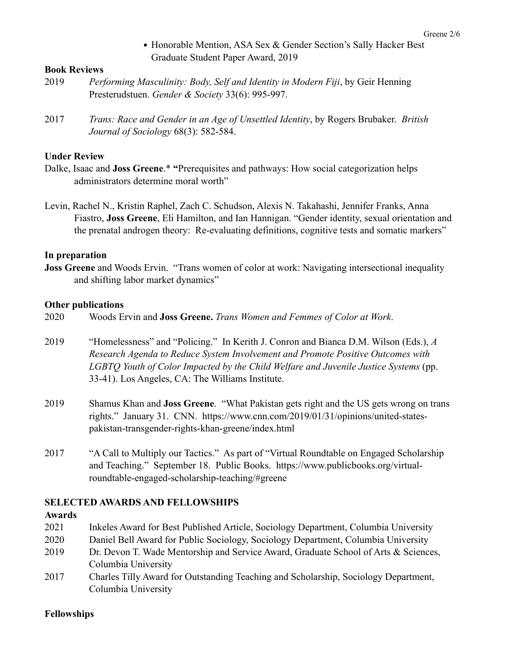• Honorable Mention, ASA Sex & Gender Section's Sally Hacker Best Graduate Student Paper Award, 2019

## **Book Reviews**

- 2019 *Performing Masculinity: Body, Self and Identity in Modern Fiji*, by Geir Henning Presterudstuen. *Gender & Society* 33(6): 995-997.
- 2017 *Trans: Race and Gender in an Age of Unsettled Identity*, by Rogers Brubaker. *British Journal of Sociology* 68(3): 582-584.

## **Under Review**

- Dalke, Isaac and **Joss Greene**.\* **"**Prerequisites and pathways: How social categorization helps administrators determine moral worth"
- Levin, Rachel N., Kristin Raphel, Zach C. Schudson, Alexis N. Takahashi, Jennifer Franks, Anna Fiastro, **Joss Greene**, Eli Hamilton, and Ian Hannigan. "Gender identity, sexual orientation and the prenatal androgen theory: Re-evaluating definitions, cognitive tests and somatic markers"

### **In preparation**

**Joss Greene** and Woods Ervin. "Trans women of color at work: Navigating intersectional inequality and shifting labor market dynamics"

### **Other publications**

- 2020 Woods Ervin and **Joss Greene.** *Trans Women and Femmes of Color at Work*.
- 2019 "Homelessness" and "Policing." In Kerith J. Conron and Bianca D.M. Wilson (Eds.), *A Research Agenda to Reduce System Involvement and Promote Positive Outcomes with LGBTQ Youth of Color Impacted by the Child Welfare and Juvenile Justice Systems* (pp. 33-41). Los Angeles, CA: The Williams Institute.
- 2019 Shamus Khan and **Joss Greene**. "What Pakistan gets right and the US gets wrong on trans rights." January 31. CNN. https://www.cnn.com/2019/01/31/opinions/united-statespakistan-transgender-rights-khan-greene/index.html
- 2017 "A Call to Multiply our Tactics." As part of "Virtual Roundtable on Engaged Scholarship and Teaching." September 18. Public Books. https://www.publicbooks.org/virtualroundtable-engaged-scholarship-teaching/#greene

## **SELECTED AWARDS AND FELLOWSHIPS**

#### **Awards**

- 2021 Inkeles Award for Best Published Article, Sociology Department, Columbia University
- 2020 Daniel Bell Award for Public Sociology, Sociology Department, Columbia University
- 2019 Dr. Devon T. Wade Mentorship and Service Award, Graduate School of Arts & Sciences, Columbia University
- 2017 Charles Tilly Award for Outstanding Teaching and Scholarship, Sociology Department, Columbia University

## **Fellowships**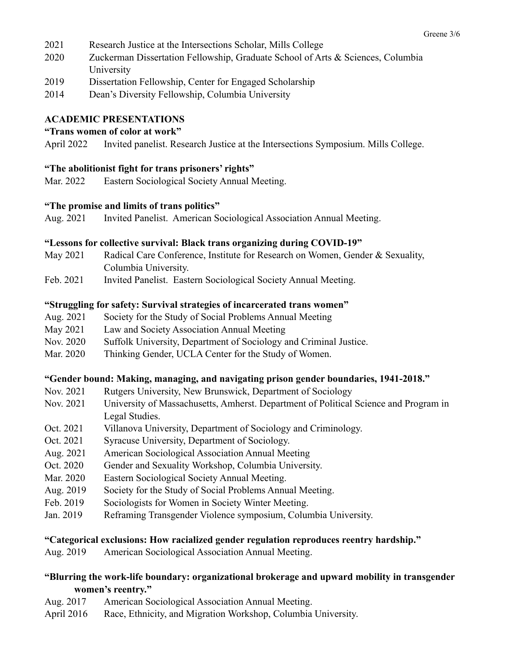- 2021 Research Justice at the Intersections Scholar, Mills College
- 2020 Zuckerman Dissertation Fellowship, Graduate School of Arts & Sciences, Columbia University
- 2019 Dissertation Fellowship, Center for Engaged Scholarship
- 2014 Dean's Diversity Fellowship, Columbia University

## **ACADEMIC PRESENTATIONS**

## **"Trans women of color at work"**

April 2022 Invited panelist. Research Justice at the Intersections Symposium. Mills College.

## **"The abolitionist fight for trans prisoners' rights"**

Mar. 2022 Eastern Sociological Society Annual Meeting.

### **"The promise and limits of trans politics"**

Aug. 2021 Invited Panelist. American Sociological Association Annual Meeting.

### **"Lessons for collective survival: Black trans organizing during COVID-19"**

- May 2021 Radical Care Conference, Institute for Research on Women, Gender & Sexuality, Columbia University.
- Feb. 2021 Invited Panelist. Eastern Sociological Society Annual Meeting.

### **"Struggling for safety: Survival strategies of incarcerated trans women"**

- Aug. 2021 Society for the Study of Social Problems Annual Meeting
- May 2021 Law and Society Association Annual Meeting
- Nov. 2020 Suffolk University, Department of Sociology and Criminal Justice.
- Mar. 2020 Thinking Gender, UCLA Center for the Study of Women.

#### **"Gender bound: Making, managing, and navigating prison gender boundaries, 1941-2018."**

- Nov. 2021 Rutgers University, New Brunswick, Department of Sociology
- Nov. 2021 University of Massachusetts, Amherst. Department of Political Science and Program in Legal Studies.
- Oct. 2021 Villanova University, Department of Sociology and Criminology.
- Oct. 2021 Syracuse University, Department of Sociology.
- Aug. 2021 American Sociological Association Annual Meeting
- Oct. 2020 Gender and Sexuality Workshop, Columbia University.
- Mar. 2020 Eastern Sociological Society Annual Meeting.
- Aug. 2019 Society for the Study of Social Problems Annual Meeting.
- Feb. 2019 Sociologists for Women in Society Winter Meeting.
- Jan. 2019 Reframing Transgender Violence symposium, Columbia University.

#### **"Categorical exclusions: How racialized gender regulation reproduces reentry hardship."**

Aug. 2019 American Sociological Association Annual Meeting.

# **"Blurring the work-life boundary: organizational brokerage and upward mobility in transgender women's reentry."**

- Aug. 2017 American Sociological Association Annual Meeting.
- April 2016 Race, Ethnicity, and Migration Workshop, Columbia University.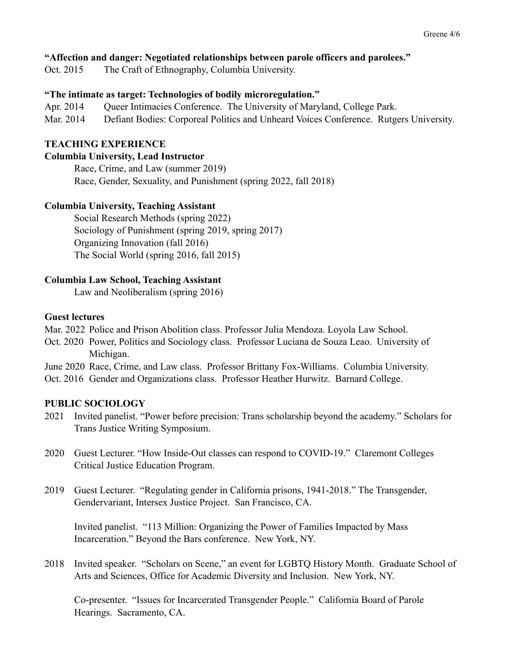## **"Affection and danger: Negotiated relationships between parole officers and parolees."**

Oct. 2015 The Craft of Ethnography, Columbia University.

### **"The intimate as target: Technologies of bodily microregulation."**

Apr. 2014 Queer Intimacies Conference. The University of Maryland, College Park.

Mar. 2014 Defiant Bodies: Corporeal Politics and Unheard Voices Conference. Rutgers University.

### **TEACHING EXPERIENCE**

#### **Columbia University, Lead Instructor**

Race, Crime, and Law (summer 2019) Race, Gender, Sexuality, and Punishment (spring 2022, fall 2018)

### **Columbia University, Teaching Assistant**

Social Research Methods (spring 2022) Sociology of Punishment (spring 2019, spring 2017) Organizing Innovation (fall 2016) The Social World (spring 2016, fall 2015)

### **Columbia Law School, Teaching Assistant**

Law and Neoliberalism (spring 2016)

### **Guest lectures**

Mar. 2022 Police and Prison Abolition class. Professor Julia Mendoza. Loyola Law School.

- Oct. 2020 Power, Politics and Sociology class. Professor Luciana de Souza Leao. University of Michigan.
- June 2020 Race, Crime, and Law class. Professor Brittany Fox-Williams. Columbia University.
- Oct. 2016 Gender and Organizations class. Professor Heather Hurwitz. Barnard College.

## **PUBLIC SOCIOLOGY**

- 2021 Invited panelist. "Power before precision: Trans scholarship beyond the academy." Scholars for Trans Justice Writing Symposium.
- 2020 Guest Lecturer. "How Inside-Out classes can respond to COVID-19." Claremont Colleges Critical Justice Education Program.
- 2019 Guest Lecturer. "Regulating gender in California prisons, 1941-2018." The Transgender, Gendervariant, Intersex Justice Project. San Francisco, CA.

Invited panelist. "113 Million: Organizing the Power of Families Impacted by Mass Incarceration." Beyond the Bars conference. New York, NY.

2018 Invited speaker. "Scholars on Scene," an event for LGBTQ History Month. Graduate School of Arts and Sciences, Office for Academic Diversity and Inclusion. New York, NY.

Co-presenter. "Issues for Incarcerated Transgender People." California Board of Parole Hearings. Sacramento, CA.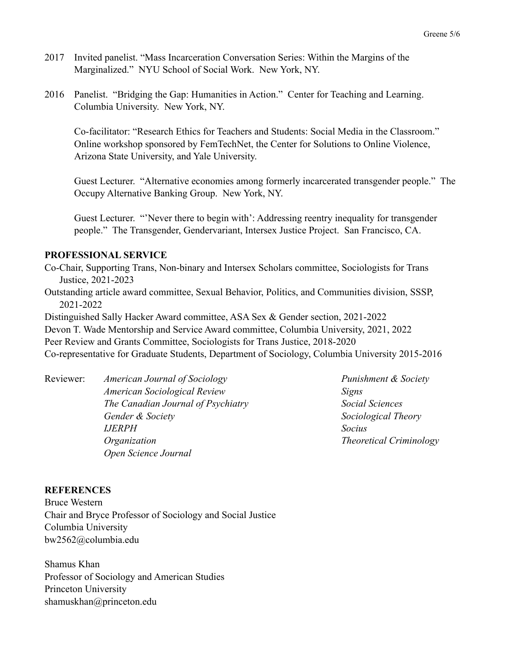- 2017 Invited panelist. "Mass Incarceration Conversation Series: Within the Margins of the Marginalized." NYU School of Social Work. New York, NY.
- 2016 Panelist. "Bridging the Gap: Humanities in Action." Center for Teaching and Learning. Columbia University. New York, NY.

Co-facilitator: "Research Ethics for Teachers and Students: Social Media in the Classroom." Online workshop sponsored by FemTechNet, the Center for Solutions to Online Violence, Arizona State University, and Yale University.

Guest Lecturer. "Alternative economies among formerly incarcerated transgender people." The Occupy Alternative Banking Group. New York, NY.

Guest Lecturer. "'Never there to begin with': Addressing reentry inequality for transgender people." The Transgender, Gendervariant, Intersex Justice Project. San Francisco, CA.

## **PROFESSIONAL SERVICE**

Co-Chair, Supporting Trans, Non-binary and Intersex Scholars committee, Sociologists for Trans Justice, 2021-2023

Outstanding article award committee, Sexual Behavior, Politics, and Communities division, SSSP, 2021-2022

Distinguished Sally Hacker Award committee, ASA Sex & Gender section, 2021-2022 Devon T. Wade Mentorship and Service Award committee, Columbia University, 2021, 2022 Peer Review and Grants Committee, Sociologists for Trans Justice, 2018-2020 Co-representative for Graduate Students, Department of Sociology, Columbia University 2015-2016

> *American Sociological Review Signs The Canadian Journal of Psychiatry Social Sciences Gender & Society Sociological Theory IJERPH Socius Organization Theoretical Criminology Open Science Journal*

Reviewer: *American Journal of Sociology Punishment & Society*

# **REFERENCES**

Bruce Western Chair and Bryce Professor of Sociology and Social Justice Columbia University bw2562@columbia.edu

Shamus Khan Professor of Sociology and American Studies Princeton University shamuskhan@princeton.edu